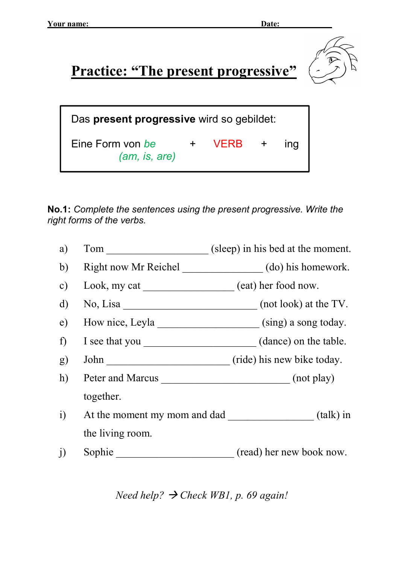Practice: "The present progressive"



| Das present progressive wird so gebildet: |  |          |  |            |  |
|-------------------------------------------|--|----------|--|------------|--|
| Eine Form von be<br>(am, is, are)         |  | + VERB + |  | <b>Ind</b> |  |

No.1: Complete the sentences using the present progressive. Write the right forms of the verbs.

| a)            | Tom                              | (sleep) in his bed at the moment.                          |
|---------------|----------------------------------|------------------------------------------------------------|
| b)            |                                  | Right now Mr Reichel (do) his homework.                    |
| $\mathbf{c})$ | Look, my cat (eat) her food now. |                                                            |
| $\mathbf{d}$  | No, Lisa                         | (not look) at the TV.                                      |
| e)            |                                  | How nice, Leyla ______________________(sing) a song today. |
| f             |                                  | I see that you (dance) on the table.                       |
| g)            | John                             | (ride) his new bike today.                                 |
| h)            | Peter and Marcus                 | (not play)                                                 |
|               | together.                        |                                                            |
| $\mathbf{i}$  |                                  | At the moment my mom and dad (talk) in                     |
|               | the living room.                 |                                                            |
| $\rm j)$      | Sophie                           | (read) her new book now.                                   |

Need help?  $\rightarrow$  Check WB1, p. 69 again!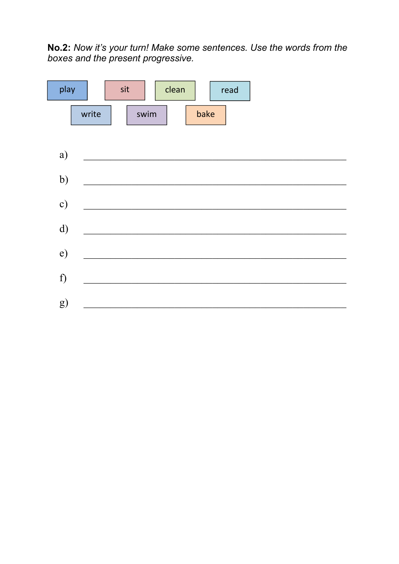No.2: Now it's your turn! Make some sentences. Use the words from the boxes and the present progressive.